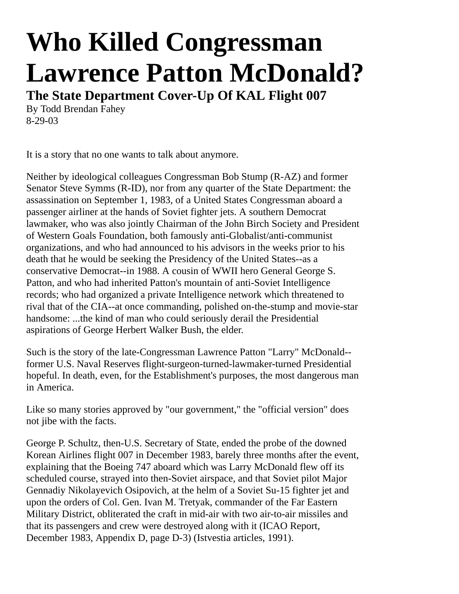## **Who Killed Congressman Lawrence Patton McDonald?**

**The State Department Cover-Up Of KAL Flight 007**

By Todd Brendan Fahey 8-29-03

It is a story that no one wants to talk about anymore.

Neither by ideological colleagues Congressman Bob Stump (R-AZ) and former Senator Steve Symms (R-ID), nor from any quarter of the State Department: the assassination on September 1, 1983, of a United States Congressman aboard a passenger airliner at the hands of Soviet fighter jets. A southern Democrat lawmaker, who was also jointly Chairman of the John Birch Society and President of Western Goals Foundation, both famously anti-Globalist/anti-communist organizations, and who had announced to his advisors in the weeks prior to his death that he would be seeking the Presidency of the United States--as a conservative Democrat--in 1988. A cousin of WWII hero General George S. Patton, and who had inherited Patton's mountain of anti-Soviet Intelligence records; who had organized a private Intelligence network which threatened to rival that of the CIA--at once commanding, polished on-the-stump and movie-star handsome: ...the kind of man who could seriously derail the Presidential aspirations of George Herbert Walker Bush, the elder.

Such is the story of the late-Congressman Lawrence Patton "Larry" McDonald- former U.S. Naval Reserves flight-surgeon-turned-lawmaker-turned Presidential hopeful. In death, even, for the Establishment's purposes, the most dangerous man in America.

Like so many stories approved by "our government," the "official version" does not jibe with the facts.

George P. Schultz, then-U.S. Secretary of State, ended the probe of the downed Korean Airlines flight 007 in December 1983, barely three months after the event, explaining that the Boeing 747 aboard which was Larry McDonald flew off its scheduled course, strayed into then-Soviet airspace, and that Soviet pilot Major Gennadiy Nikolayevich Osipovich, at the helm of a Soviet Su-15 fighter jet and upon the orders of Col. Gen. Ivan M. Tretyak, commander of the Far Eastern Military District, obliterated the craft in mid-air with two air-to-air missiles and that its passengers and crew were destroyed along with it (ICAO Report, December 1983, Appendix D, page D-3) (Istvestia articles, 1991).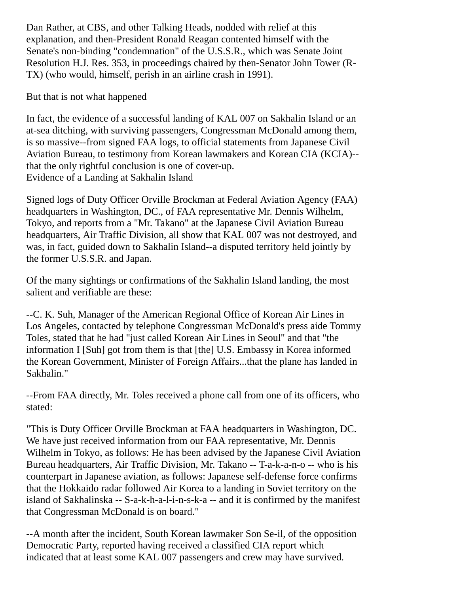Dan Rather, at CBS, and other Talking Heads, nodded with relief at this explanation, and then-President Ronald Reagan contented himself with the Senate's non-binding "condemnation" of the U.S.S.R., which was Senate Joint Resolution H.J. Res. 353, in proceedings chaired by then-Senator John Tower (R-TX) (who would, himself, perish in an airline crash in 1991).

But that is not what happened

In fact, the evidence of a successful landing of KAL 007 on Sakhalin Island or an at-sea ditching, with surviving passengers, Congressman McDonald among them, is so massive--from signed FAA logs, to official statements from Japanese Civil Aviation Bureau, to testimony from Korean lawmakers and Korean CIA (KCIA)- that the only rightful conclusion is one of cover-up. Evidence of a Landing at Sakhalin Island

Signed logs of Duty Officer Orville Brockman at Federal Aviation Agency (FAA) headquarters in Washington, DC., of FAA representative Mr. Dennis Wilhelm, Tokyo, and reports from a "Mr. Takano" at the Japanese Civil Aviation Bureau headquarters, Air Traffic Division, all show that KAL 007 was not destroyed, and was, in fact, guided down to Sakhalin Island--a disputed territory held jointly by the former U.S.S.R. and Japan.

Of the many sightings or confirmations of the Sakhalin Island landing, the most salient and verifiable are these:

--C. K. Suh, Manager of the American Regional Office of Korean Air Lines in Los Angeles, contacted by telephone Congressman McDonald's press aide Tommy Toles, stated that he had "just called Korean Air Lines in Seoul" and that "the information I [Suh] got from them is that [the] U.S. Embassy in Korea informed the Korean Government, Minister of Foreign Affairs...that the plane has landed in Sakhalin."

--From FAA directly, Mr. Toles received a phone call from one of its officers, who stated:

"This is Duty Officer Orville Brockman at FAA headquarters in Washington, DC. We have just received information from our FAA representative, Mr. Dennis Wilhelm in Tokyo, as follows: He has been advised by the Japanese Civil Aviation Bureau headquarters, Air Traffic Division, Mr. Takano -- T-a-k-a-n-o -- who is his counterpart in Japanese aviation, as follows: Japanese self-defense force confirms that the Hokkaido radar followed Air Korea to a landing in Soviet territory on the island of Sakhalinska -- S-a-k-h-a-l-i-n-s-k-a -- and it is confirmed by the manifest that Congressman McDonald is on board."

--A month after the incident, South Korean lawmaker Son Se-il, of the opposition Democratic Party, reported having received a classified CIA report which indicated that at least some KAL 007 passengers and crew may have survived.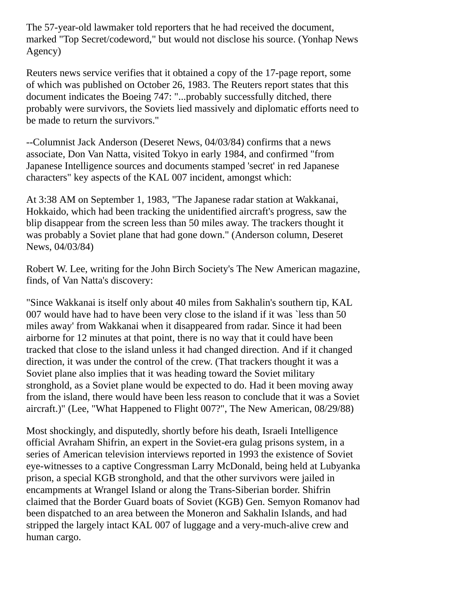The 57-year-old lawmaker told reporters that he had received the document, marked "Top Secret/codeword," but would not disclose his source. (Yonhap News Agency)

Reuters news service verifies that it obtained a copy of the 17-page report, some of which was published on October 26, 1983. The Reuters report states that this document indicates the Boeing 747: "...probably successfully ditched, there probably were survivors, the Soviets lied massively and diplomatic efforts need to be made to return the survivors."

--Columnist Jack Anderson (Deseret News, 04/03/84) confirms that a news associate, Don Van Natta, visited Tokyo in early 1984, and confirmed "from Japanese Intelligence sources and documents stamped 'secret' in red Japanese characters" key aspects of the KAL 007 incident, amongst which:

At 3:38 AM on September 1, 1983, "The Japanese radar station at Wakkanai, Hokkaido, which had been tracking the unidentified aircraft's progress, saw the blip disappear from the screen less than 50 miles away. The trackers thought it was probably a Soviet plane that had gone down." (Anderson column, Deseret News, 04/03/84)

Robert W. Lee, writing for the John Birch Society's The New American magazine, finds, of Van Natta's discovery:

"Since Wakkanai is itself only about 40 miles from Sakhalin's southern tip, KAL 007 would have had to have been very close to the island if it was `less than 50 miles away' from Wakkanai when it disappeared from radar. Since it had been airborne for 12 minutes at that point, there is no way that it could have been tracked that close to the island unless it had changed direction. And if it changed direction, it was under the control of the crew. (That trackers thought it was a Soviet plane also implies that it was heading toward the Soviet military stronghold, as a Soviet plane would be expected to do. Had it been moving away from the island, there would have been less reason to conclude that it was a Soviet aircraft.)" (Lee, "What Happened to Flight 007?", The New American, 08/29/88)

Most shockingly, and disputedly, shortly before his death, Israeli Intelligence official Avraham Shifrin, an expert in the Soviet-era gulag prisons system, in a series of American television interviews reported in 1993 the existence of Soviet eye-witnesses to a captive Congressman Larry McDonald, being held at Lubyanka prison, a special KGB stronghold, and that the other survivors were jailed in encampments at Wrangel Island or along the Trans-Siberian border. Shifrin claimed that the Border Guard boats of Soviet (KGB) Gen. Semyon Romanov had been dispatched to an area between the Moneron and Sakhalin Islands, and had stripped the largely intact KAL 007 of luggage and a very-much-alive crew and human cargo.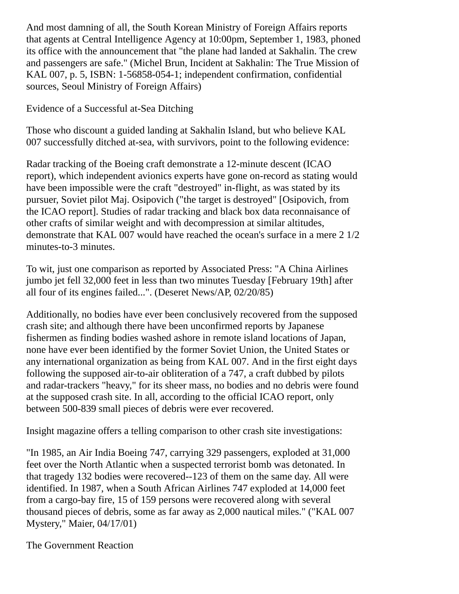And most damning of all, the South Korean Ministry of Foreign Affairs reports that agents at Central Intelligence Agency at 10:00pm, September 1, 1983, phoned its office with the announcement that "the plane had landed at Sakhalin. The crew and passengers are safe." (Michel Brun, Incident at Sakhalin: The True Mission of KAL 007, p. 5, ISBN: 1-56858-054-1; independent confirmation, confidential sources, Seoul Ministry of Foreign Affairs)

Evidence of a Successful at-Sea Ditching

Those who discount a guided landing at Sakhalin Island, but who believe KAL 007 successfully ditched at-sea, with survivors, point to the following evidence:

Radar tracking of the Boeing craft demonstrate a 12-minute descent (ICAO report), which independent avionics experts have gone on-record as stating would have been impossible were the craft "destroyed" in-flight, as was stated by its pursuer, Soviet pilot Maj. Osipovich ("the target is destroyed" [Osipovich, from the ICAO report]. Studies of radar tracking and black box data reconnaisance of other crafts of similar weight and with decompression at similar altitudes, demonstrate that KAL 007 would have reached the ocean's surface in a mere 2 1/2 minutes-to-3 minutes.

To wit, just one comparison as reported by Associated Press: "A China Airlines jumbo jet fell 32,000 feet in less than two minutes Tuesday [February 19th] after all four of its engines failed...". (Deseret News/AP, 02/20/85)

Additionally, no bodies have ever been conclusively recovered from the supposed crash site; and although there have been unconfirmed reports by Japanese fishermen as finding bodies washed ashore in remote island locations of Japan, none have ever been identified by the former Soviet Union, the United States or any international organization as being from KAL 007. And in the first eight days following the supposed air-to-air obliteration of a 747, a craft dubbed by pilots and radar-trackers "heavy," for its sheer mass, no bodies and no debris were found at the supposed crash site. In all, according to the official ICAO report, only between 500-839 small pieces of debris were ever recovered.

Insight magazine offers a telling comparison to other crash site investigations:

"In 1985, an Air India Boeing 747, carrying 329 passengers, exploded at 31,000 feet over the North Atlantic when a suspected terrorist bomb was detonated. In that tragedy 132 bodies were recovered--123 of them on the same day. All were identified. In 1987, when a South African Airlines 747 exploded at 14,000 feet from a cargo-bay fire, 15 of 159 persons were recovered along with several thousand pieces of debris, some as far away as 2,000 nautical miles." ("KAL 007 Mystery," Maier, 04/17/01)

The Government Reaction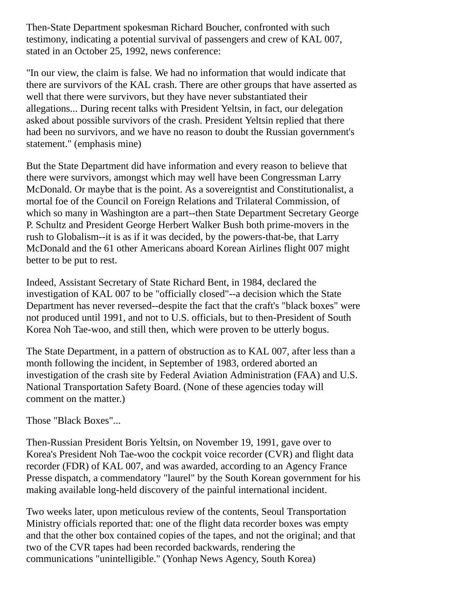Then-State Department spokesman Richard Boucher, confronted with such testimony, indicating a potential survival of passengers and crew of KAL 007, stated in an October 25, 1992, news conference:

"In our view, the claim is false. We had no information that would indicate that there are survivors of the KAL crash. There are other groups that have asserted as well that there were survivors, but they have never substantiated their allegations... During recent talks with President Yeltsin, in fact, our delegation asked about possible survivors of the crash. President Yeltsin replied that there had been no survivors, and we have no reason to doubt the Russian government's statement." (emphasis mine)

But the State Department did have information and every reason to believe that there were survivors, amongst which may well have been Congressman Larry McDonald. Or maybe that is the point. As a sovereigntist and Constitutionalist, a mortal foe of the Council on Foreign Relations and Trilateral Commission, of which so many in Washington are a part--then State Department Secretary George P. Schultz and President George Herbert Walker Bush both prime-movers in the rush to Globalism--it is as if it was decided, by the powers-that-be, that Larry McDonald and the 61 other Americans aboard Korean Airlines flight 007 might better to be put to rest.

Indeed, Assistant Secretary of State Richard Bent, in 1984, declared the investigation of KAL 007 to be "officially closed"--a decision which the State Department has never reversed--despite the fact that the craft's "black boxes" were not produced until 1991, and not to U.S. officials, but to then-President of South Korea Noh Tae-woo, and still then, which were proven to be utterly bogus.

The State Department, in a pattern of obstruction as to KAL 007, after less than a month following the incident, in September of 1983, ordered aborted an investigation of the crash site by Federal Aviation Administration (FAA) and U.S. National Transportation Safety Board. (None of these agencies today will comment on the matter.)

Those "Black Boxes"...

Then-Russian President Boris Yeltsin, on November 19, 1991, gave over to Korea's President Noh Tae-woo the cockpit voice recorder (CVR) and flight data recorder (FDR) of KAL 007, and was awarded, according to an Agency France Presse dispatch, a commendatory "laurel" by the South Korean government for his making available long-held discovery of the painful international incident.

Two weeks later, upon meticulous review of the contents, Seoul Transportation Ministry officials reported that: one of the flight data recorder boxes was empty and that the other box contained copies of the tapes, and not the original; and that two of the CVR tapes had been recorded backwards, rendering the communications "unintelligible." (Yonhap News Agency, South Korea)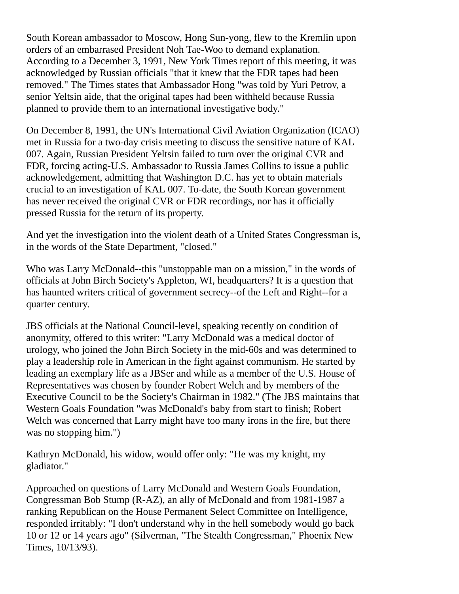South Korean ambassador to Moscow, Hong Sun-yong, flew to the Kremlin upon orders of an embarrased President Noh Tae-Woo to demand explanation. According to a December 3, 1991, New York Times report of this meeting, it was acknowledged by Russian officials "that it knew that the FDR tapes had been removed." The Times states that Ambassador Hong "was told by Yuri Petrov, a senior Yeltsin aide, that the original tapes had been withheld because Russia planned to provide them to an international investigative body."

On December 8, 1991, the UN's International Civil Aviation Organization (ICAO) met in Russia for a two-day crisis meeting to discuss the sensitive nature of KAL 007. Again, Russian President Yeltsin failed to turn over the original CVR and FDR, forcing acting-U.S. Ambassador to Russia James Collins to issue a public acknowledgement, admitting that Washington D.C. has yet to obtain materials crucial to an investigation of KAL 007. To-date, the South Korean government has never received the original CVR or FDR recordings, nor has it officially pressed Russia for the return of its property.

And yet the investigation into the violent death of a United States Congressman is, in the words of the State Department, "closed."

Who was Larry McDonald--this "unstoppable man on a mission," in the words of officials at John Birch Society's Appleton, WI, headquarters? It is a question that has haunted writers critical of government secrecy--of the Left and Right--for a quarter century.

JBS officials at the National Council-level, speaking recently on condition of anonymity, offered to this writer: "Larry McDonald was a medical doctor of urology, who joined the John Birch Society in the mid-60s and was determined to play a leadership role in American in the fight against communism. He started by leading an exemplary life as a JBSer and while as a member of the U.S. House of Representatives was chosen by founder Robert Welch and by members of the Executive Council to be the Society's Chairman in 1982." (The JBS maintains that Western Goals Foundation "was McDonald's baby from start to finish; Robert Welch was concerned that Larry might have too many irons in the fire, but there was no stopping him.")

Kathryn McDonald, his widow, would offer only: "He was my knight, my gladiator."

Approached on questions of Larry McDonald and Western Goals Foundation, Congressman Bob Stump (R-AZ), an ally of McDonald and from 1981-1987 a ranking Republican on the House Permanent Select Committee on Intelligence, responded irritably: "I don't understand why in the hell somebody would go back 10 or 12 or 14 years ago" (Silverman, "The Stealth Congressman," Phoenix New Times, 10/13/93).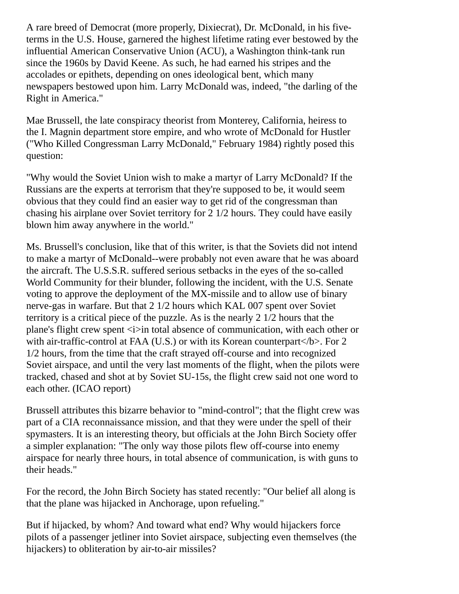A rare breed of Democrat (more properly, Dixiecrat), Dr. McDonald, in his fiveterms in the U.S. House, garnered the highest lifetime rating ever bestowed by the influential American Conservative Union (ACU), a Washington think-tank run since the 1960s by David Keene. As such, he had earned his stripes and the accolades or epithets, depending on ones ideological bent, which many newspapers bestowed upon him. Larry McDonald was, indeed, "the darling of the Right in America."

Mae Brussell, the late conspiracy theorist from Monterey, California, heiress to the I. Magnin department store empire, and who wrote of McDonald for Hustler ("Who Killed Congressman Larry McDonald," February 1984) rightly posed this question:

"Why would the Soviet Union wish to make a martyr of Larry McDonald? If the Russians are the experts at terrorism that they're supposed to be, it would seem obvious that they could find an easier way to get rid of the congressman than chasing his airplane over Soviet territory for 2 1/2 hours. They could have easily blown him away anywhere in the world."

Ms. Brussell's conclusion, like that of this writer, is that the Soviets did not intend to make a martyr of McDonald--were probably not even aware that he was aboard the aircraft. The U.S.S.R. suffered serious setbacks in the eyes of the so-called World Community for their blunder, following the incident, with the U.S. Senate voting to approve the deployment of the MX-missile and to allow use of binary nerve-gas in warfare. But that 2 1/2 hours which KAL 007 spent over Soviet territory is a critical piece of the puzzle. As is the nearly 2 1/2 hours that the plane's flight crew spent  $\leq i$  in total absence of communication, with each other or with air-traffic-control at FAA (U.S.) or with its Korean counterpart $\langle b \rangle$ . For 2 1/2 hours, from the time that the craft strayed off-course and into recognized Soviet airspace, and until the very last moments of the flight, when the pilots were tracked, chased and shot at by Soviet SU-15s, the flight crew said not one word to each other. (ICAO report)

Brussell attributes this bizarre behavior to "mind-control"; that the flight crew was part of a CIA reconnaissance mission, and that they were under the spell of their spymasters. It is an interesting theory, but officials at the John Birch Society offer a simpler explanation: "The only way those pilots flew off-course into enemy airspace for nearly three hours, in total absence of communication, is with guns to their heads."

For the record, the John Birch Society has stated recently: "Our belief all along is that the plane was hijacked in Anchorage, upon refueling."

But if hijacked, by whom? And toward what end? Why would hijackers force pilots of a passenger jetliner into Soviet airspace, subjecting even themselves (the hijackers) to obliteration by air-to-air missiles?